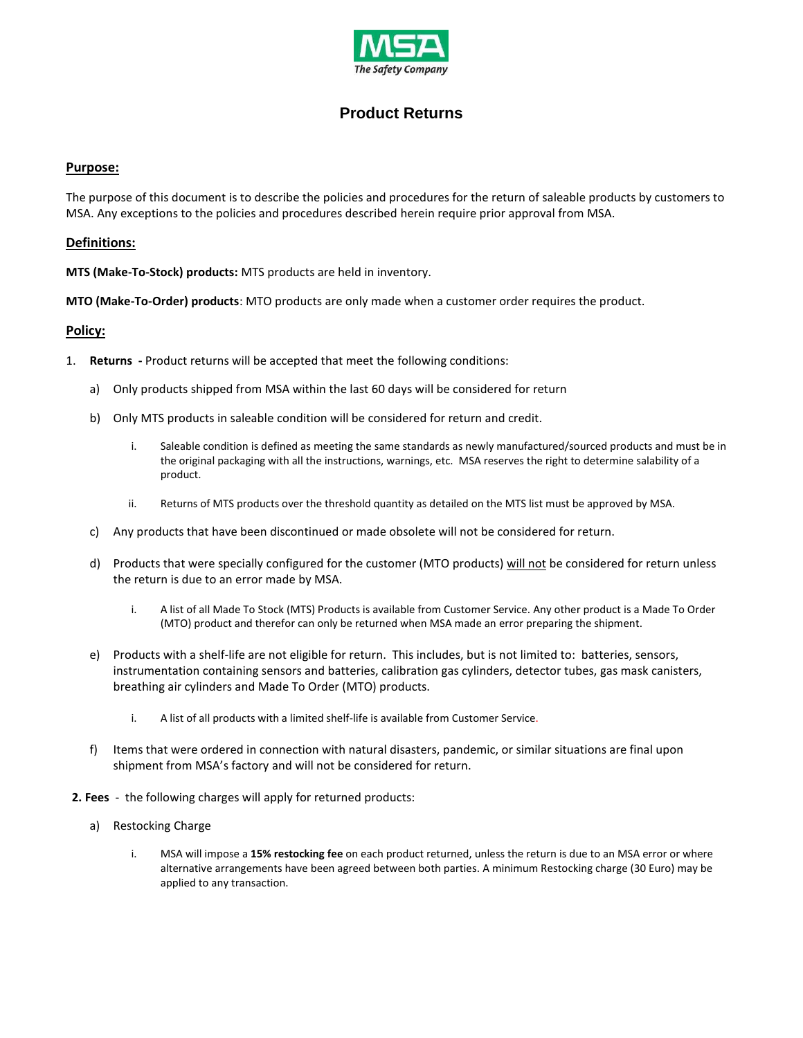

## **Product Returns**

## **Purpose:**

The purpose of this document is to describe the policies and procedures for the return of saleable products by customers to MSA. Any exceptions to the policies and procedures described herein require prior approval from MSA.

## **Definitions:**

**MTS (Make-To-Stock) products:** MTS products are held in inventory.

**MTO (Make-To-Order) products**: MTO products are only made when a customer order requires the product.

## **Policy:**

- 1. **Returns -** Product returns will be accepted that meet the following conditions:
	- a) Only products shipped from MSA within the last 60 days will be considered for return
	- b) Only MTS products in saleable condition will be considered for return and credit.
		- i. Saleable condition is defined as meeting the same standards as newly manufactured/sourced products and must be in the original packaging with all the instructions, warnings, etc. MSA reserves the right to determine salability of a product.
		- ii. Returns of MTS products over the threshold quantity as detailed on the MTS list must be approved by MSA.
	- c) Any products that have been discontinued or made obsolete will not be considered for return.
	- d) Products that were specially configured for the customer (MTO products) will not be considered for return unless the return is due to an error made by MSA.
		- i. A list of all Made To Stock (MTS) Products is available from Customer Service. Any other product is a Made To Order (MTO) product and therefor can only be returned when MSA made an error preparing the shipment.
	- e) Products with a shelf-life are not eligible for return. This includes, but is not limited to: batteries, sensors, instrumentation containing sensors and batteries, calibration gas cylinders, detector tubes, gas mask canisters, breathing air cylinders and Made To Order (MTO) products.
		- i. A list of all products with a limited shelf-life is available from Customer Service.
	- f) Items that were ordered in connection with natural disasters, pandemic, or similar situations are final upon shipment from MSA's factory and will not be considered for return.
- **2. Fees** the following charges will apply for returned products:
	- a) Restocking Charge
		- i. MSA will impose a **15% restocking fee** on each product returned, unless the return is due to an MSA error or where alternative arrangements have been agreed between both parties. A minimum Restocking charge (30 Euro) may be applied to any transaction.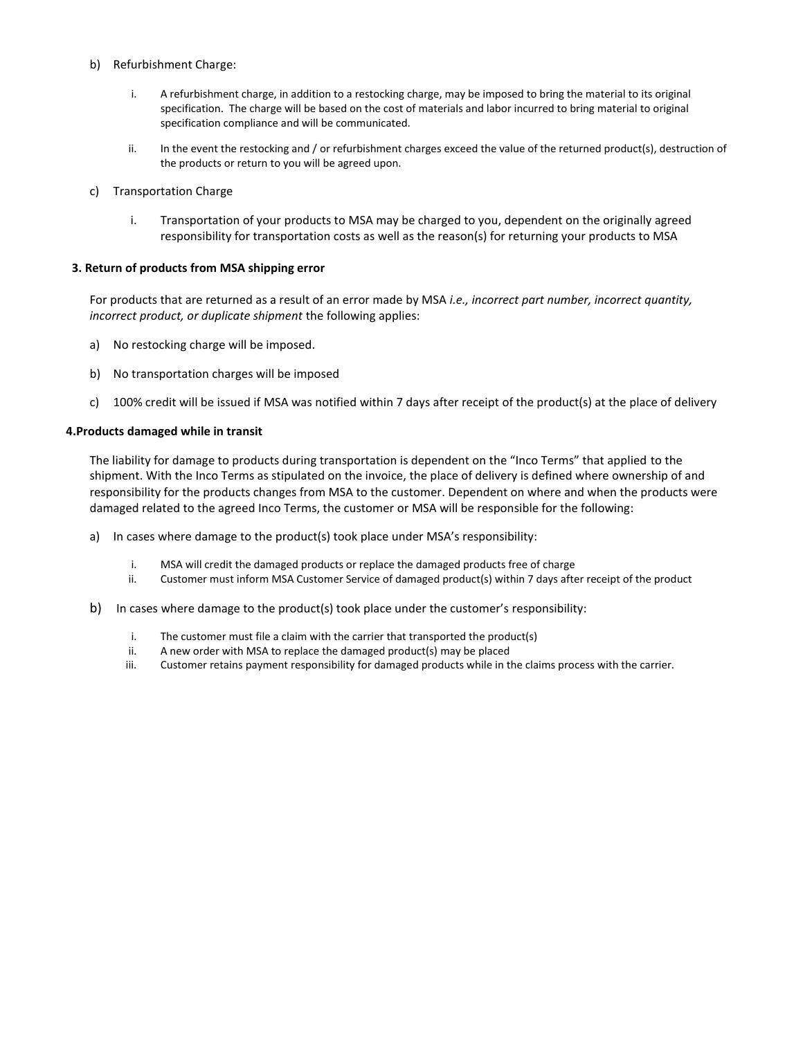## b) Refurbishment Charge:

- i. A refurbishment charge, in addition to a restocking charge, may be imposed to bring the material to its original specification. The charge will be based on the cost of materials and labor incurred to bring material to original specification compliance and will be communicated.
- ii. In the event the restocking and / or refurbishment charges exceed the value of the returned product(s), destruction of the products or return to you will be agreed upon.
- c) Transportation Charge
	- i. Transportation of your products to MSA may be charged to you, dependent on the originally agreed responsibility for transportation costs as well as the reason(s) for returning your products to MSA

## **3. Return of products from MSA shipping error**

For products that are returned as a result of an error made by MSA *i.e., incorrect part number, incorrect quantity, incorrect product, or duplicate shipment* the following applies:

- a) No restocking charge will be imposed.
- b) No transportation charges will be imposed
- c) 100% credit will be issued if MSA was notified within 7 days after receipt of the product(s) at the place of delivery

#### **4.Products damaged while in transit**

The liability for damage to products during transportation is dependent on the "Inco Terms" that applied to the shipment. With the Inco Terms as stipulated on the invoice, the place of delivery is defined where ownership of and responsibility for the products changes from MSA to the customer. Dependent on where and when the products were damaged related to the agreed Inco Terms, the customer or MSA will be responsible for the following:

- a) In cases where damage to the product(s) took place under MSA's responsibility:
	- i. MSA will credit the damaged products or replace the damaged products free of charge
	- ii. Customer must inform MSA Customer Service of damaged product(s) within 7 days after receipt of the product
- b) In cases where damage to the product(s) took place under the customer's responsibility:
	- i. The customer must file a claim with the carrier that transported the product(s)
	- ii. A new order with MSA to replace the damaged product(s) may be placed
	- iii. Customer retains payment responsibility for damaged products while in the claims process with the carrier.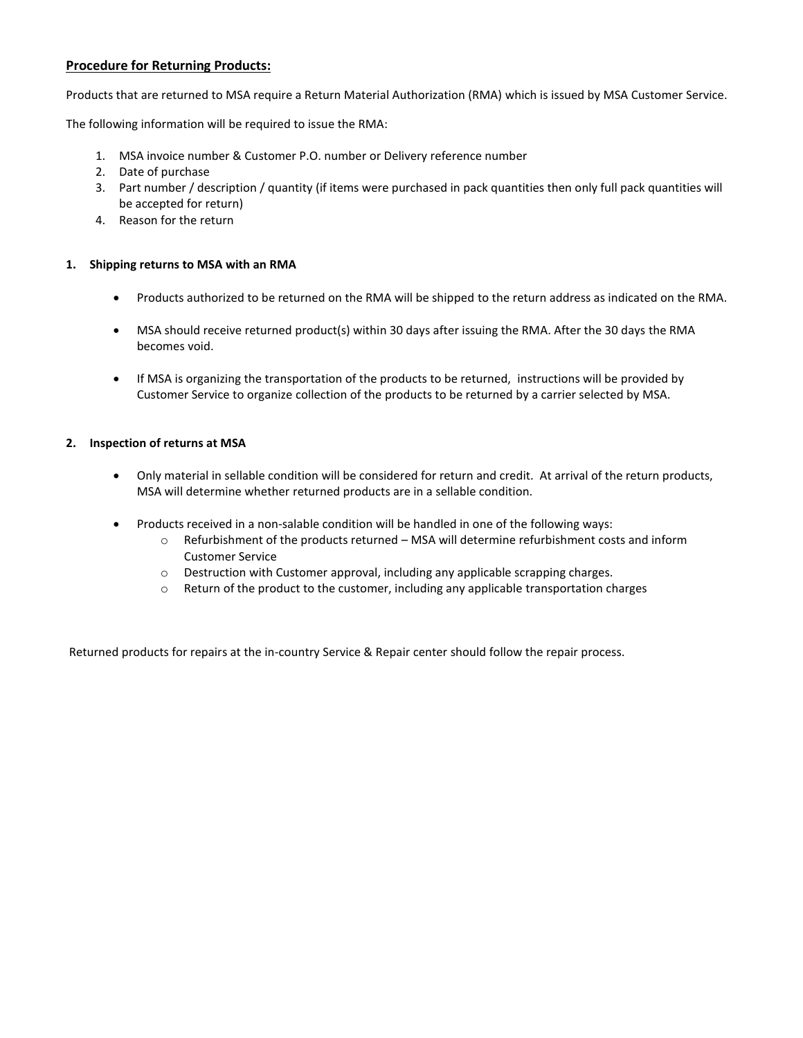## **Procedure for Returning Products:**

Products that are returned to MSA require a Return Material Authorization (RMA) which is issued by MSA Customer Service.

The following information will be required to issue the RMA:

- 1. MSA invoice number & Customer P.O. number or Delivery reference number
- 2. Date of purchase
- 3. Part number / description / quantity (if items were purchased in pack quantities then only full pack quantities will be accepted for return)
- 4. Reason for the return

## **1. Shipping returns to MSA with an RMA**

- Products authorized to be returned on the RMA will be shipped to the return address as indicated on the RMA.
- MSA should receive returned product(s) within 30 days after issuing the RMA. After the 30 days the RMA becomes void.
- If MSA is organizing the transportation of the products to be returned, instructions will be provided by Customer Service to organize collection of the products to be returned by a carrier selected by MSA.

## **2. Inspection of returns at MSA**

- Only material in sellable condition will be considered for return and credit. At arrival of the return products, MSA will determine whether returned products are in a sellable condition.
- Products received in a non-salable condition will be handled in one of the following ways:
	- o Refurbishment of the products returned MSA will determine refurbishment costs and inform Customer Service
	- o Destruction with Customer approval, including any applicable scrapping charges.
	- $\circ$  Return of the product to the customer, including any applicable transportation charges

Returned products for repairs at the in-country Service & Repair center should follow the repair process.